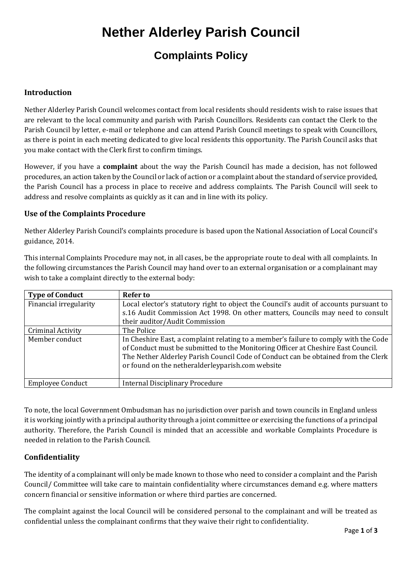# **Nether Alderley Parish Council**

### **Complaints Policy**

### **Introduction**

Nether Alderley Parish Council welcomes contact from local residents should residents wish to raise issues that are relevant to the local community and parish with Parish Councillors. Residents can contact the Clerk to the Parish Council by letter, e-mail or telephone and can attend Parish Council meetings to speak with Councillors, as there is point in each meeting dedicated to give local residents this opportunity. The Parish Council asks that you make contact with the Clerk first to confirm timings.

However, if you have a **complaint** about the way the Parish Council has made a decision, has not followed procedures, an action taken by the Council or lack of action or a complaint about the standard of service provided, the Parish Council has a process in place to receive and address complaints. The Parish Council will seek to address and resolve complaints as quickly as it can and in line with its policy.

### **Use of the Complaints Procedure**

Nether Alderley Parish Council's complaints procedure is based upon the National Association of Local Council's guidance, 2014.

This internal Complaints Procedure may not, in all cases, be the appropriate route to deal with all complaints. In the following circumstances the Parish Council may hand over to an external organisation or a complainant may wish to take a complaint directly to the external body:

| <b>Type of Conduct</b>  | <b>Refer to</b>                                                                                                                                                                                                                                                                                                   |
|-------------------------|-------------------------------------------------------------------------------------------------------------------------------------------------------------------------------------------------------------------------------------------------------------------------------------------------------------------|
| Financial irregularity  | Local elector's statutory right to object the Council's audit of accounts pursuant to                                                                                                                                                                                                                             |
|                         | s.16 Audit Commission Act 1998. On other matters, Councils may need to consult                                                                                                                                                                                                                                    |
|                         | their auditor/Audit Commission                                                                                                                                                                                                                                                                                    |
| Criminal Activity       | The Police                                                                                                                                                                                                                                                                                                        |
| Member conduct          | In Cheshire East, a complaint relating to a member's failure to comply with the Code<br>of Conduct must be submitted to the Monitoring Officer at Cheshire East Council.<br>The Nether Alderley Parish Council Code of Conduct can be obtained from the Clerk<br>or found on the netheralderleyparish.com website |
| <b>Employee Conduct</b> | <b>Internal Disciplinary Procedure</b>                                                                                                                                                                                                                                                                            |

To note, the local Government Ombudsman has no jurisdiction over parish and town councils in England unless it is working jointly with a principal authority through a joint committee or exercising the functions of a principal authority. Therefore, the Parish Council is minded that an accessible and workable Complaints Procedure is needed in relation to the Parish Council.

### **Confidentiality**

The identity of a complainant will only be made known to those who need to consider a complaint and the Parish Council/ Committee will take care to maintain confidentiality where circumstances demand e.g. where matters concern financial or sensitive information or where third parties are concerned.

The complaint against the local Council will be considered personal to the complainant and will be treated as confidential unless the complainant confirms that they waive their right to confidentiality.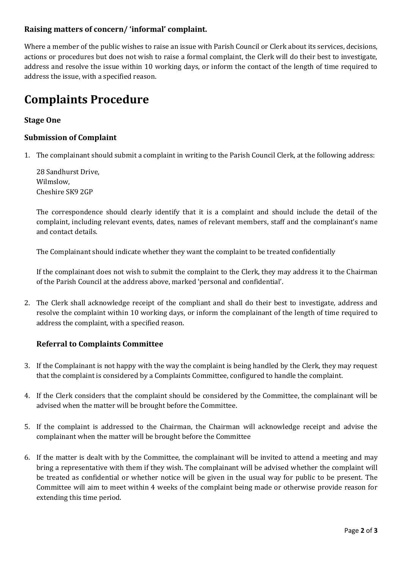### **Raising matters of concern/ 'informal' complaint.**

Where a member of the public wishes to raise an issue with Parish Council or Clerk about its services, decisions, actions or procedures but does not wish to raise a formal complaint, the Clerk will do their best to investigate, address and resolve the issue within 10 working days, or inform the contact of the length of time required to address the issue, with a specified reason.

## **Complaints Procedure**

### **Stage One**

### **Submission of Complaint**

1. The complainant should submit a complaint in writing to the Parish Council Clerk, at the following address:

28 Sandhurst Drive, Wilmslow, Cheshire SK9 2GP

The correspondence should clearly identify that it is a complaint and should include the detail of the complaint, including relevant events, dates, names of relevant members, staff and the complainant's name and contact details.

The Complainant should indicate whether they want the complaint to be treated confidentially

If the complainant does not wish to submit the complaint to the Clerk, they may address it to the Chairman of the Parish Council at the address above, marked 'personal and confidential'.

2. The Clerk shall acknowledge receipt of the compliant and shall do their best to investigate, address and resolve the complaint within 10 working days, or inform the complainant of the length of time required to address the complaint, with a specified reason.

### **Referral to Complaints Committee**

- 3. If the Complainant is not happy with the way the complaint is being handled by the Clerk, they may request that the complaint is considered by a Complaints Committee, configured to handle the complaint.
- 4. If the Clerk considers that the complaint should be considered by the Committee, the complainant will be advised when the matter will be brought before the Committee.
- 5. If the complaint is addressed to the Chairman, the Chairman will acknowledge receipt and advise the complainant when the matter will be brought before the Committee
- 6. If the matter is dealt with by the Committee, the complainant will be invited to attend a meeting and may bring a representative with them if they wish. The complainant will be advised whether the complaint will be treated as confidential or whether notice will be given in the usual way for public to be present. The Committee will aim to meet within 4 weeks of the complaint being made or otherwise provide reason for extending this time period.